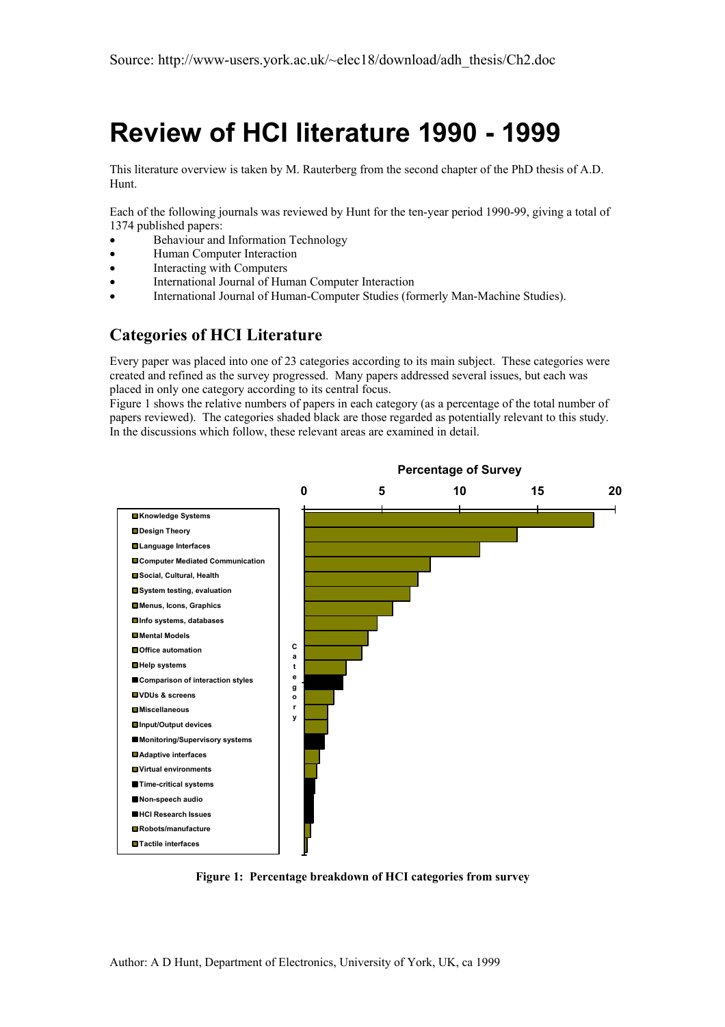# **Review of HCI literature 1990 - 1999**

This literature overview is taken by M. Rauterberg from the second chapter of the PhD thesis of A.D. Hunt.

Each of the following journals was reviewed by Hunt for the ten-year period 1990-99, giving a total of 1374 published papers:

- Behaviour and Information Technology
- Human Computer Interaction
- Interacting with Computers
- International Journal of Human Computer Interaction
- International Journal of Human-Computer Studies (formerly Man-Machine Studies).

## **Categories of HCI Literature**

Every paper was placed into one of 23 categories according to its main subject. These categories were created and refined as the survey progressed. Many papers addressed several issues, but each was placed in only one category according to its central focus.

Figure 1 shows the relative numbers of papers in each category (as a percentage of the total number of papers reviewed). The categories shaded black are those regarded as potentially relevant to this study. In the discussions which follow, these relevant areas are examined in detail.



**Figure 1: Percentage breakdown of HCI categories from survey**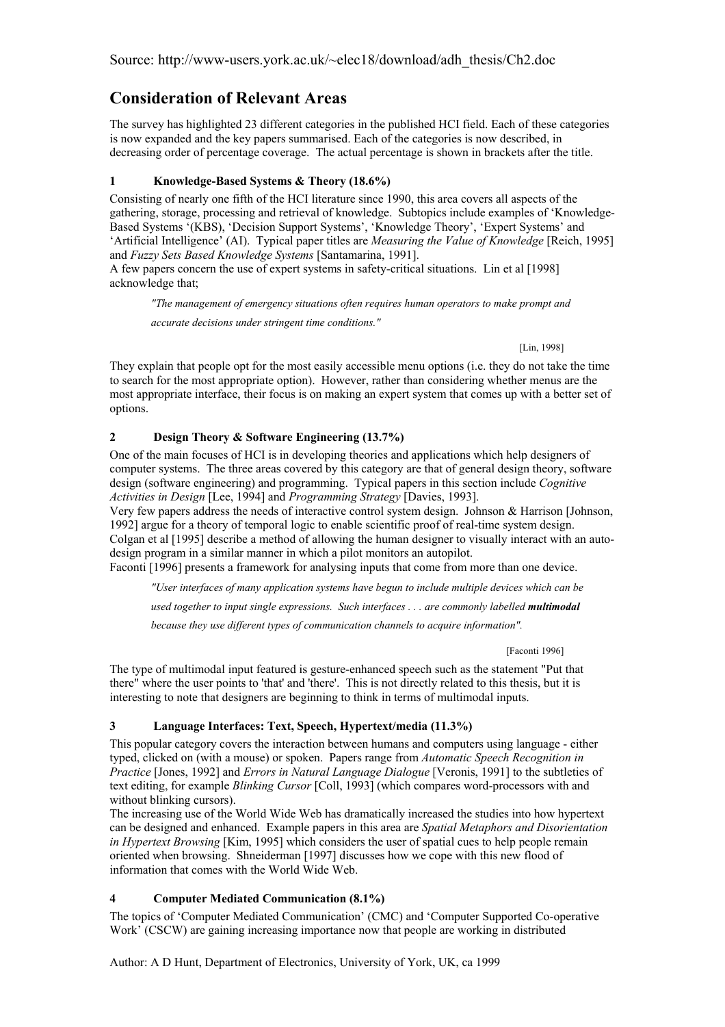The survey has highlighted 23 different categories in the published HCI field. Each of these categories is now expanded and the key papers summarised. Each of the categories is now described, in decreasing order of percentage coverage. The actual percentage is shown in brackets after the title.

# **1 Knowledge-Based Systems & Theory (18.6%)**

Consisting of nearly one fifth of the HCI literature since 1990, this area covers all aspects of the gathering, storage, processing and retrieval of knowledge. Subtopics include examples of 'Knowledge-Based Systems '(KBS), 'Decision Support Systems', 'Knowledge Theory', 'Expert Systems' and 'Artificial Intelligence' (AI). Typical paper titles are *Measuring the Value of Knowledge* [Reich, 1995] and *Fuzzy Sets Based Knowledge Systems* [Santamarina, 1991].

A few papers concern the use of expert systems in safety-critical situations. Lin et al [1998] acknowledge that;

*"The management of emergency situations often requires human operators to make prompt and accurate decisions under stringent time conditions."* 

[Lin, 1998]

They explain that people opt for the most easily accessible menu options (i.e. they do not take the time to search for the most appropriate option). However, rather than considering whether menus are the most appropriate interface, their focus is on making an expert system that comes up with a better set of options.

# **2 Design Theory & Software Engineering (13.7%)**

One of the main focuses of HCI is in developing theories and applications which help designers of computer systems. The three areas covered by this category are that of general design theory, software design (software engineering) and programming. Typical papers in this section include *Cognitive Activities in Design* [Lee, 1994] and *Programming Strategy* [Davies, 1993].

Very few papers address the needs of interactive control system design. Johnson & Harrison [Johnson, 1992] argue for a theory of temporal logic to enable scientific proof of real-time system design. Colgan et al [1995] describe a method of allowing the human designer to visually interact with an autodesign program in a similar manner in which a pilot monitors an autopilot.

Faconti [1996] presents a framework for analysing inputs that come from more than one device.

*"User interfaces of many application systems have begun to include multiple devices which can be*

used together to input single expressions. Such interfaces . . . are commonly labelled **multimodal** 

*because they use different types of communication channels to acquire information".* 

[Faconti 1996]

The type of multimodal input featured is gesture-enhanced speech such as the statement "Put that there" where the user points to 'that' and 'there'. This is not directly related to this thesis, but it is interesting to note that designers are beginning to think in terms of multimodal inputs.

# **3 Language Interfaces: Text, Speech, Hypertext/media (11.3%)**

This popular category covers the interaction between humans and computers using language - either typed, clicked on (with a mouse) or spoken. Papers range from *Automatic Speech Recognition in Practice* [Jones, 1992] and *Errors in Natural Language Dialogue* [Veronis, 1991] to the subtleties of text editing, for example *Blinking Cursor* [Coll, 1993] (which compares word-processors with and without blinking cursors).

The increasing use of the World Wide Web has dramatically increased the studies into how hypertext can be designed and enhanced. Example papers in this area are *Spatial Metaphors and Disorientation in Hypertext Browsing* [Kim, 1995] which considers the user of spatial cues to help people remain oriented when browsing. Shneiderman [1997] discusses how we cope with this new flood of information that comes with the World Wide Web.

# **4 Computer Mediated Communication (8.1%)**

The topics of 'Computer Mediated Communication' (CMC) and 'Computer Supported Co-operative Work' (CSCW) are gaining increasing importance now that people are working in distributed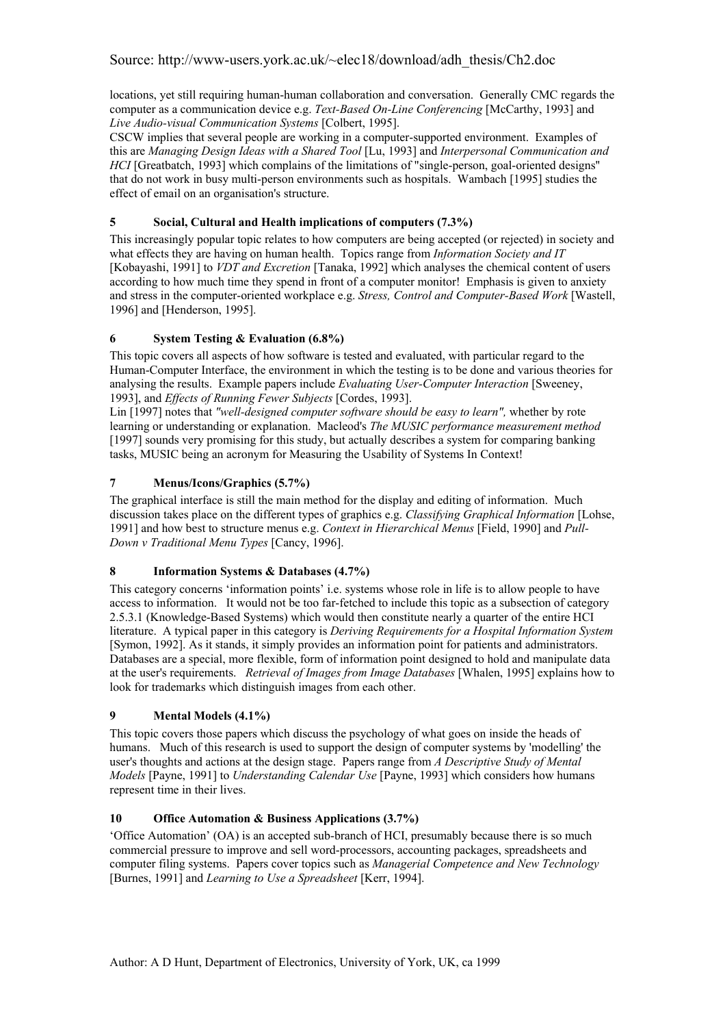locations, yet still requiring human-human collaboration and conversation. Generally CMC regards the computer as a communication device e.g. *Text-Based On-Line Conferencing* [McCarthy, 1993] and *Live Audio-visual Communication Systems* [Colbert, 1995].

CSCW implies that several people are working in a computer-supported environment. Examples of this are *Managing Design Ideas with a Shared Tool* [Lu, 1993] and *Interpersonal Communication and HCI* [Greatbatch, 1993] which complains of the limitations of "single-person, goal-oriented designs'' that do not work in busy multi-person environments such as hospitals. Wambach [1995] studies the effect of email on an organisation's structure.

#### **5 Social, Cultural and Health implications of computers (7.3%)**

This increasingly popular topic relates to how computers are being accepted (or rejected) in society and what effects they are having on human health. Topics range from *Information Society and IT* [Kobayashi, 1991] to *VDT and Excretion* [Tanaka, 1992] which analyses the chemical content of users according to how much time they spend in front of a computer monitor! Emphasis is given to anxiety and stress in the computer-oriented workplace e.g. *Stress, Control and Computer-Based Work* [Wastell, 1996] and [Henderson, 1995].

#### **6 System Testing & Evaluation (6.8%)**

This topic covers all aspects of how software is tested and evaluated, with particular regard to the Human-Computer Interface, the environment in which the testing is to be done and various theories for analysing the results. Example papers include *Evaluating User-Computer Interaction* [Sweeney, 1993], and *Effects of Running Fewer Subjects* [Cordes, 1993].

Lin [1997] notes that "well-designed computer software should be easy to learn", whether by rote learning or understanding or explanation. Macleod's *The MUSIC performance measurement method* [1997] sounds very promising for this study, but actually describes a system for comparing banking tasks, MUSIC being an acronym for Measuring the Usability of Systems In Context!

#### **7 Menus/Icons/Graphics (5.7%)**

The graphical interface is still the main method for the display and editing of information. Much discussion takes place on the different types of graphics e.g. *Classifying Graphical Information* [Lohse, 1991] and how best to structure menus e.g. *Context in Hierarchical Menus* [Field, 1990] and *Pull-Down v Traditional Menu Types* [Cancy, 1996].

#### **8 Information Systems & Databases (4.7%)**

This category concerns 'information points' i.e. systems whose role in life is to allow people to have access to information. It would not be too far-fetched to include this topic as a subsection of category 2.5.3.1 (Knowledge-Based Systems) which would then constitute nearly a quarter of the entire HCI literature. A typical paper in this category is *Deriving Requirements for a Hospital Information System* [Symon, 1992]. As it stands, it simply provides an information point for patients and administrators. Databases are a special, more flexible, form of information point designed to hold and manipulate data at the user's requirements. *Retrieval of Images from Image Databases* [Whalen, 1995] explains how to look for trademarks which distinguish images from each other.

#### **9 Mental Models (4.1%)**

This topic covers those papers which discuss the psychology of what goes on inside the heads of humans. Much of this research is used to support the design of computer systems by 'modelling' the user's thoughts and actions at the design stage. Papers range from *A Descriptive Study of Mental Models* [Payne, 1991] to *Understanding Calendar Use* [Payne, 1993] which considers how humans represent time in their lives.

#### **10 Office Automation & Business Applications (3.7%)**

'Office Automation' (OA) is an accepted sub-branch of HCI, presumably because there is so much commercial pressure to improve and sell word-processors, accounting packages, spreadsheets and computer filing systems. Papers cover topics such as *Managerial Competence and New Technology* [Burnes, 1991] and *Learning to Use a Spreadsheet* [Kerr, 1994].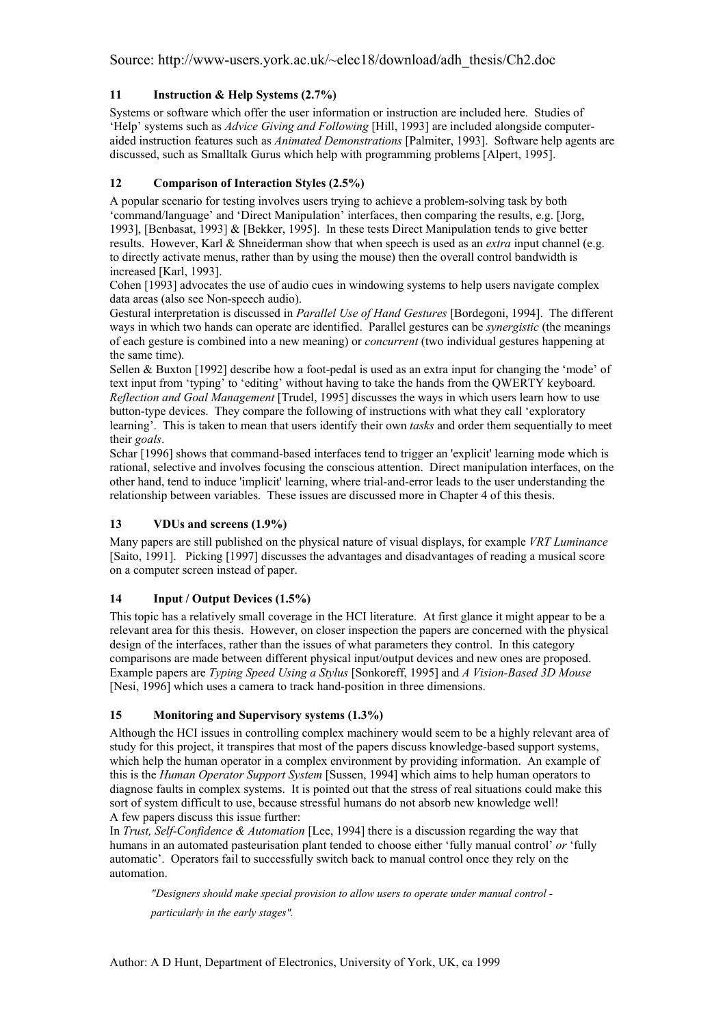#### **11 Instruction & Help Systems (2.7%)**

Systems or software which offer the user information or instruction are included here. Studies of 'Help' systems such as *Advice Giving and Following* [Hill, 1993] are included alongside computeraided instruction features such as *Animated Demonstrations* [Palmiter, 1993]. Software help agents are discussed, such as Smalltalk Gurus which help with programming problems [Alpert, 1995].

#### **12 Comparison of Interaction Styles (2.5%)**

A popular scenario for testing involves users trying to achieve a problem-solving task by both 'command/language' and 'Direct Manipulation' interfaces, then comparing the results, e.g. [Jorg, 1993], [Benbasat, 1993] & [Bekker, 1995]. In these tests Direct Manipulation tends to give better results. However, Karl & Shneiderman show that when speech is used as an *extra* input channel (e.g. to directly activate menus, rather than by using the mouse) then the overall control bandwidth is increased [Karl, 1993].

Cohen [1993] advocates the use of audio cues in windowing systems to help users navigate complex data areas (also see Non-speech audio).

Gestural interpretation is discussed in *Parallel Use of Hand Gestures* [Bordegoni, 1994]. The different ways in which two hands can operate are identified. Parallel gestures can be *synergistic* (the meanings of each gesture is combined into a new meaning) or *concurrent* (two individual gestures happening at the same time).

Sellen & Buxton [1992] describe how a foot-pedal is used as an extra input for changing the 'mode' of text input from 'typing' to 'editing' without having to take the hands from the QWERTY keyboard. *Reflection and Goal Management* [Trudel, 1995] discusses the ways in which users learn how to use button-type devices. They compare the following of instructions with what they call 'exploratory learning'. This is taken to mean that users identify their own *tasks* and order them sequentially to meet their *goals*.

Schar [1996] shows that command-based interfaces tend to trigger an 'explicit' learning mode which is rational, selective and involves focusing the conscious attention. Direct manipulation interfaces, on the other hand, tend to induce 'implicit' learning, where trial-and-error leads to the user understanding the relationship between variables. These issues are discussed more in Chapter 4 of this thesis.

#### **13 VDUs and screens (1.9%)**

Many papers are still published on the physical nature of visual displays, for example *VRT Luminance* [Saito, 1991]. Picking [1997] discusses the advantages and disadvantages of reading a musical score on a computer screen instead of paper.

#### **14 Input / Output Devices (1.5%)**

This topic has a relatively small coverage in the HCI literature. At first glance it might appear to be a relevant area for this thesis. However, on closer inspection the papers are concerned with the physical design of the interfaces, rather than the issues of what parameters they control. In this category comparisons are made between different physical input/output devices and new ones are proposed. Example papers are *Typing Speed Using a Stylus* [Sonkoreff, 1995] and *A Vision-Based 3D Mouse* [Nesi, 1996] which uses a camera to track hand-position in three dimensions.

#### **15 Monitoring and Supervisory systems (1.3%)**

Although the HCI issues in controlling complex machinery would seem to be a highly relevant area of study for this project, it transpires that most of the papers discuss knowledge-based support systems, which help the human operator in a complex environment by providing information. An example of this is the *Human Operator Support System* [Sussen, 1994] which aims to help human operators to diagnose faults in complex systems. It is pointed out that the stress of real situations could make this sort of system difficult to use, because stressful humans do not absorb new knowledge well! A few papers discuss this issue further:

In *Trust, Self-Confidence & Automation* [Lee, 1994] there is a discussion regarding the way that humans in an automated pasteurisation plant tended to choose either 'fully manual control' *or* 'fully automatic'. Operators fail to successfully switch back to manual control once they rely on the automation.

*"Designers should make special provision to allow users to operate under manual control particularly in the early stages".*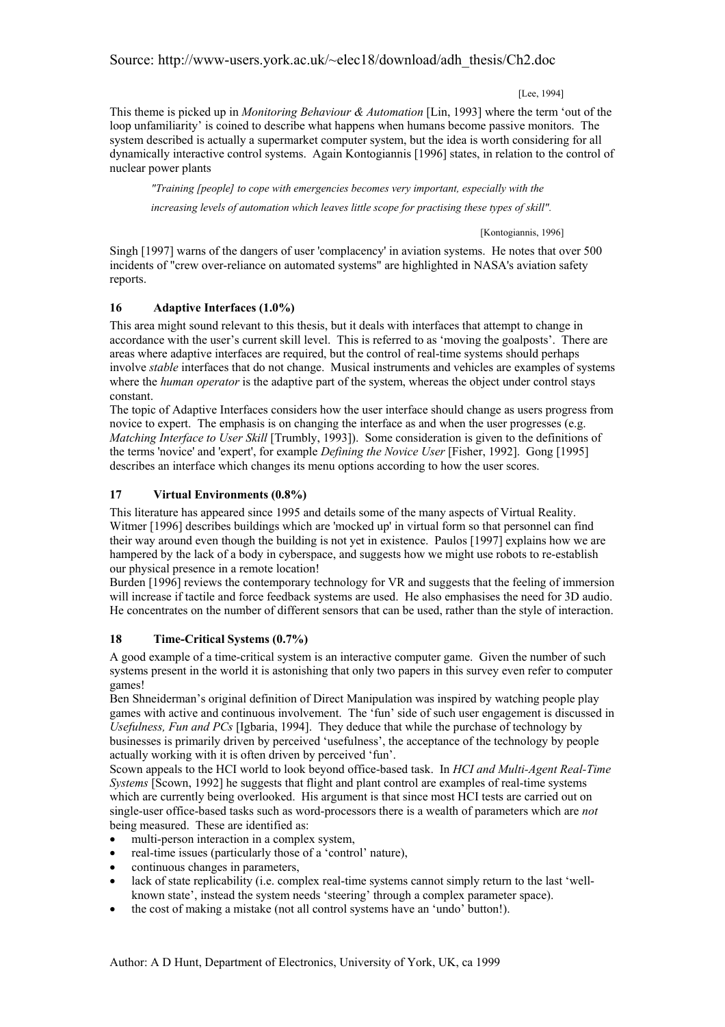[Lee, 1994]

This theme is picked up in *Monitoring Behaviour & Automation* [Lin, 1993] where the term 'out of the loop unfamiliarity' is coined to describe what happens when humans become passive monitors. The system described is actually a supermarket computer system, but the idea is worth considering for all dynamically interactive control systems. Again Kontogiannis [1996] states, in relation to the control of nuclear power plants

*"Training [people] to cope with emergencies becomes very important, especially with the increasing levels of automation which leaves little scope for practising these types of skill".* 

[Kontogiannis, 1996]

Singh [1997] warns of the dangers of user 'complacency' in aviation systems. He notes that over 500 incidents of "crew over-reliance on automated systems" are highlighted in NASA's aviation safety reports.

#### **16 Adaptive Interfaces (1.0%)**

This area might sound relevant to this thesis, but it deals with interfaces that attempt to change in accordance with the user's current skill level. This is referred to as 'moving the goalposts'. There are areas where adaptive interfaces are required, but the control of real-time systems should perhaps involve *stable* interfaces that do not change. Musical instruments and vehicles are examples of systems where the *human operator* is the adaptive part of the system, whereas the object under control stays constant.

The topic of Adaptive Interfaces considers how the user interface should change as users progress from novice to expert. The emphasis is on changing the interface as and when the user progresses (e.g. *Matching Interface to User Skill* [Trumbly, 1993]). Some consideration is given to the definitions of the terms 'novice' and 'expert', for example *Defining the Novice User* [Fisher, 1992]. Gong [1995] describes an interface which changes its menu options according to how the user scores.

#### **17 Virtual Environments (0.8%)**

This literature has appeared since 1995 and details some of the many aspects of Virtual Reality. Witmer [1996] describes buildings which are 'mocked up' in virtual form so that personnel can find their way around even though the building is not yet in existence. Paulos [1997] explains how we are hampered by the lack of a body in cyberspace, and suggests how we might use robots to re-establish our physical presence in a remote location!

Burden [1996] reviews the contemporary technology for VR and suggests that the feeling of immersion will increase if tactile and force feedback systems are used. He also emphasises the need for 3D audio. He concentrates on the number of different sensors that can be used, rather than the style of interaction.

#### **18 Time-Critical Systems (0.7%)**

A good example of a time-critical system is an interactive computer game. Given the number of such systems present in the world it is astonishing that only two papers in this survey even refer to computer games!

Ben Shneiderman's original definition of Direct Manipulation was inspired by watching people play games with active and continuous involvement. The 'fun' side of such user engagement is discussed in *Usefulness, Fun and PCs* [Igbaria, 1994]. They deduce that while the purchase of technology by businesses is primarily driven by perceived 'usefulness', the acceptance of the technology by people actually working with it is often driven by perceived 'fun'.

Scown appeals to the HCI world to look beyond office-based task. In *HCI and Multi-Agent Real-Time Systems* [Scown, 1992] he suggests that flight and plant control are examples of real-time systems which are currently being overlooked. His argument is that since most HCI tests are carried out on single-user office-based tasks such as word-processors there is a wealth of parameters which are *not* being measured. These are identified as:

- multi-person interaction in a complex system,
- real-time issues (particularly those of a 'control' nature).
- continuous changes in parameters,
- lack of state replicability (i.e. complex real-time systems cannot simply return to the last 'wellknown state', instead the system needs 'steering' through a complex parameter space).
- the cost of making a mistake (not all control systems have an 'undo' button!).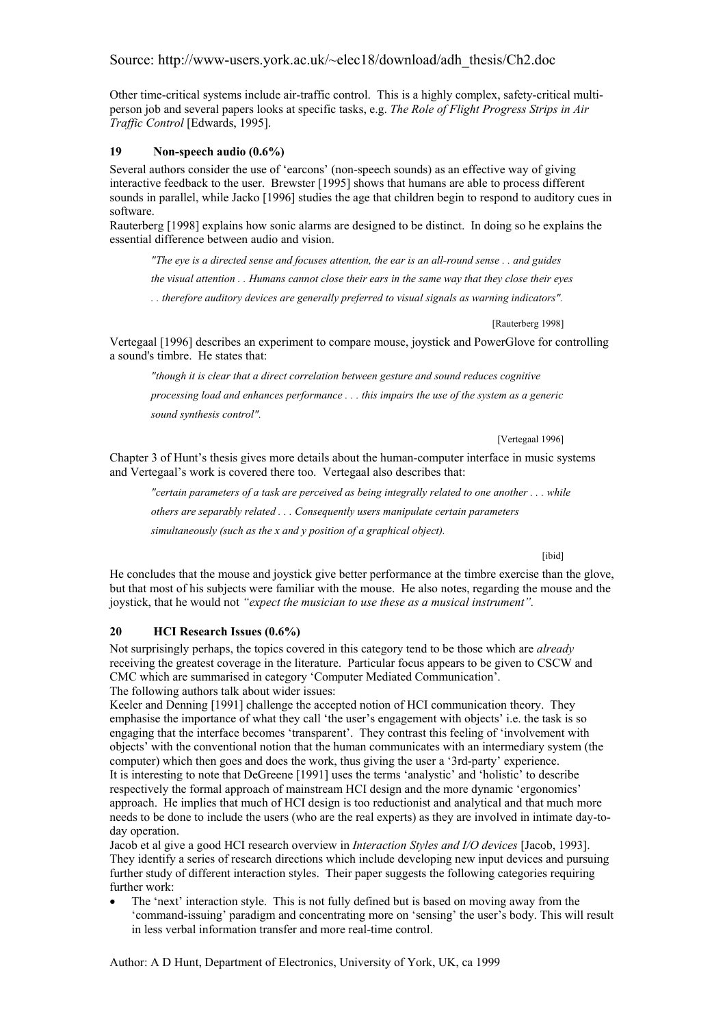Other time-critical systems include air-traffic control. This is a highly complex, safety-critical multiperson job and several papers looks at specific tasks, e.g. *The Role of Flight Progress Strips in Air Traffic Control* [Edwards, 1995].

#### **19 Non-speech audio (0.6%)**

Several authors consider the use of 'earcons' (non-speech sounds) as an effective way of giving interactive feedback to the user. Brewster [1995] shows that humans are able to process different sounds in parallel, while Jacko [1996] studies the age that children begin to respond to auditory cues in software.

Rauterberg [1998] explains how sonic alarms are designed to be distinct. In doing so he explains the essential difference between audio and vision.

*"The eye is a directed sense and focuses attention, the ear is an all-round sense . . and guides* 

*the visual attention . . Humans cannot close their ears in the same way that they close their eyes* 

*. . therefore auditory devices are generally preferred to visual signals as warning indicators".*

[Rauterberg 1998]

Vertegaal [1996] describes an experiment to compare mouse, joystick and PowerGlove for controlling a sound's timbre. He states that:

*"though it is clear that a direct correlation between gesture and sound reduces cognitive processing load and enhances performance . . . this impairs the use of the system as a generic sound synthesis control".* 

[Vertegaal 1996]

Chapter 3 of Hunt's thesis gives more details about the human-computer interface in music systems and Vertegaal's work is covered there too. Vertegaal also describes that:

*"certain parameters of a task are perceived as being integrally related to one another . . . while others are separably related . . . Consequently users manipulate certain parameters simultaneously (such as the x and y position of a graphical object).* 

[ibid]

He concludes that the mouse and joystick give better performance at the timbre exercise than the glove, but that most of his subjects were familiar with the mouse. He also notes, regarding the mouse and the joystick, that he would not *"expect the musician to use these as a musical instrument".*

#### **20 HCI Research Issues (0.6%)**

Not surprisingly perhaps, the topics covered in this category tend to be those which are *already* receiving the greatest coverage in the literature. Particular focus appears to be given to CSCW and CMC which are summarised in category 'Computer Mediated Communication'.

The following authors talk about wider issues:

Keeler and Denning [1991] challenge the accepted notion of HCI communication theory. They emphasise the importance of what they call 'the user's engagement with objects' i.e. the task is so engaging that the interface becomes 'transparent'. They contrast this feeling of 'involvement with objects' with the conventional notion that the human communicates with an intermediary system (the computer) which then goes and does the work, thus giving the user a '3rd-party' experience. It is interesting to note that DeGreene [1991] uses the terms 'analystic' and 'holistic' to describe respectively the formal approach of mainstream HCI design and the more dynamic 'ergonomics' approach. He implies that much of HCI design is too reductionist and analytical and that much more needs to be done to include the users (who are the real experts) as they are involved in intimate day-today operation.

Jacob et al give a good HCI research overview in *Interaction Styles and I/O devices* [Jacob, 1993]. They identify a series of research directions which include developing new input devices and pursuing further study of different interaction styles. Their paper suggests the following categories requiring further work:

• The 'next' interaction style. This is not fully defined but is based on moving away from the 'command-issuing' paradigm and concentrating more on 'sensing' the user's body. This will result in less verbal information transfer and more real-time control.